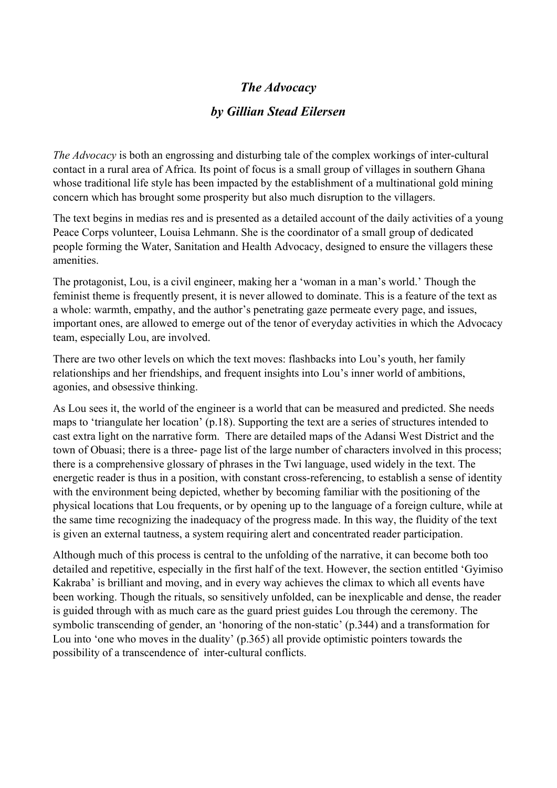## *The Advocacy*

## *by Gillian Stead Eilersen*

*The Advocacy* is both an engrossing and disturbing tale of the complex workings of inter-cultural contact in a rural area of Africa. Its point of focus is a small group of villages in southern Ghana whose traditional life style has been impacted by the establishment of a multinational gold mining concern which has brought some prosperity but also much disruption to the villagers.

The text begins in medias res and is presented as a detailed account of the daily activities of a young Peace Corps volunteer, Louisa Lehmann. She is the coordinator of a small group of dedicated people forming the Water, Sanitation and Health Advocacy, designed to ensure the villagers these amenities.

The protagonist, Lou, is a civil engineer, making her a 'woman in a man's world.' Though the feminist theme is frequently present, it is never allowed to dominate. This is a feature of the text as a whole: warmth, empathy, and the author's penetrating gaze permeate every page, and issues, important ones, are allowed to emerge out of the tenor of everyday activities in which the Advocacy team, especially Lou, are involved.

There are two other levels on which the text moves: flashbacks into Lou's youth, her family relationships and her friendships, and frequent insights into Lou's inner world of ambitions, agonies, and obsessive thinking.

As Lou sees it, the world of the engineer is a world that can be measured and predicted. She needs maps to 'triangulate her location' (p.18). Supporting the text are a series of structures intended to cast extra light on the narrative form. There are detailed maps of the Adansi West District and the town of Obuasi; there is a three- page list of the large number of characters involved in this process; there is a comprehensive glossary of phrases in the Twi language, used widely in the text. The energetic reader is thus in a position, with constant cross-referencing, to establish a sense of identity with the environment being depicted, whether by becoming familiar with the positioning of the physical locations that Lou frequents, or by opening up to the language of a foreign culture, while at the same time recognizing the inadequacy of the progress made. In this way, the fluidity of the text is given an external tautness, a system requiring alert and concentrated reader participation.

Although much of this process is central to the unfolding of the narrative, it can become both too detailed and repetitive, especially in the first half of the text. However, the section entitled 'Gyimiso Kakraba' is brilliant and moving, and in every way achieves the climax to which all events have been working. Though the rituals, so sensitively unfolded, can be inexplicable and dense, the reader is guided through with as much care as the guard priest guides Lou through the ceremony. The symbolic transcending of gender, an 'honoring of the non-static' (p.344) and a transformation for Lou into 'one who moves in the duality' (p.365) all provide optimistic pointers towards the possibility of a transcendence of inter-cultural conflicts.